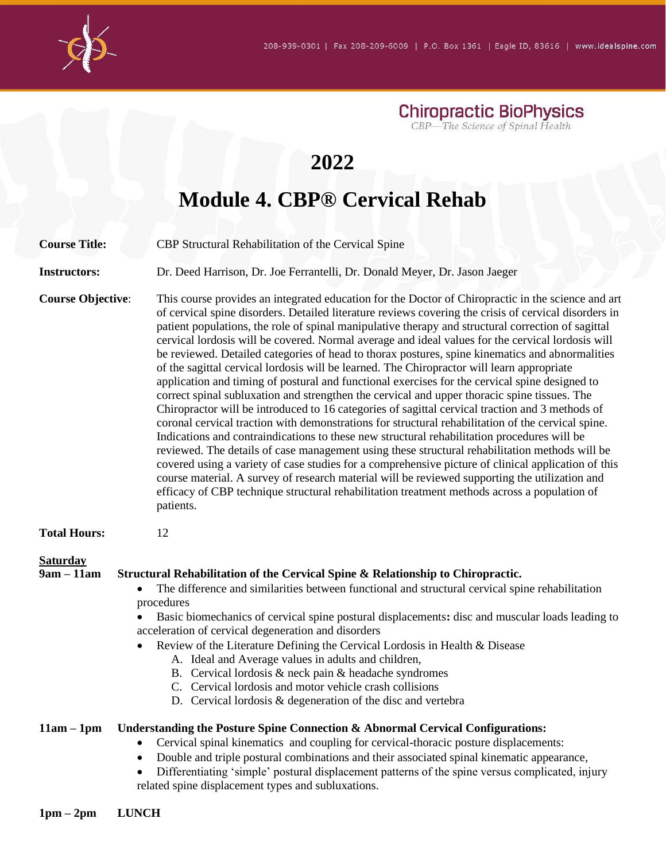

**Chiropractic BioPhysics** CBP-The Science of Spinal Health

## **2022**

# **Module 4. CBP® Cervical Rehab**

**Course Title:** CBP Structural Rehabilitation of the Cervical Spine

**Instructors:** Dr. Deed Harrison, Dr. Joe Ferrantelli, Dr. Donald Meyer, Dr. Jason Jaeger

**Course Objective**: This course provides an integrated education for the Doctor of Chiropractic in the science and art of cervical spine disorders. Detailed literature reviews covering the crisis of cervical disorders in patient populations, the role of spinal manipulative therapy and structural correction of sagittal cervical lordosis will be covered. Normal average and ideal values for the cervical lordosis will be reviewed. Detailed categories of head to thorax postures, spine kinematics and abnormalities of the sagittal cervical lordosis will be learned. The Chiropractor will learn appropriate application and timing of postural and functional exercises for the cervical spine designed to correct spinal subluxation and strengthen the cervical and upper thoracic spine tissues. The Chiropractor will be introduced to 16 categories of sagittal cervical traction and 3 methods of coronal cervical traction with demonstrations for structural rehabilitation of the cervical spine. Indications and contraindications to these new structural rehabilitation procedures will be reviewed. The details of case management using these structural rehabilitation methods will be covered using a variety of case studies for a comprehensive picture of clinical application of this course material. A survey of research material will be reviewed supporting the utilization and efficacy of CBP technique structural rehabilitation treatment methods across a population of patients.

**Total Hours:** 12

#### **Saturday**

#### **9am – 11am Structural Rehabilitation of the Cervical Spine & Relationship to Chiropractic.**

- The difference and similarities between functional and structural cervical spine rehabilitation procedures
- Basic biomechanics of cervical spine postural displacements**:** disc and muscular loads leading to acceleration of cervical degeneration and disorders
- Review of the Literature Defining the Cervical Lordosis in Health & Disease
	- A. Ideal and Average values in adults and children,
	- B. Cervical lordosis & neck pain & headache syndromes
	- C. Cervical lordosis and motor vehicle crash collisions
	- D. Cervical lordosis & degeneration of the disc and vertebra

#### **11am – 1pm Understanding the Posture Spine Connection & Abnormal Cervical Configurations:**

- Cervical spinal kinematics and coupling for cervical-thoracic posture displacements:
- Double and triple postural combinations and their associated spinal kinematic appearance,
- Differentiating 'simple' postural displacement patterns of the spine versus complicated, injury related spine displacement types and subluxations.
- **1pm – 2pm LUNCH**